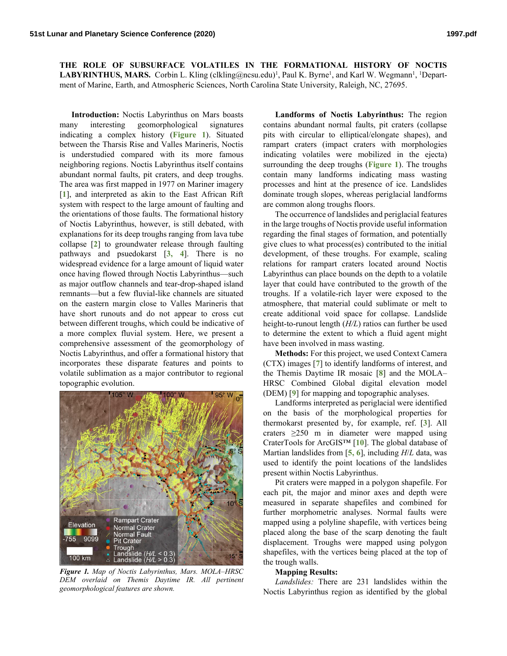**THE ROLE OF SUBSURFACE VOLATILES IN THE FORMATIONAL HISTORY OF NOCTIS**  LABYRINTHUS, MARS. Corbin L. Kling (clkling@ncsu.edu)<sup>1</sup>, Paul K. Byrne<sup>1</sup>, and Karl W. Wegmann<sup>1</sup>, <sup>1</sup>Department of Marine, Earth, and Atmospheric Sciences, North Carolina State University, Raleigh, NC, 27695.

**Introduction:** Noctis Labyrinthus on Mars boasts many interesting geomorphological signatures indicating a complex history (**Figure 1**). Situated between the Tharsis Rise and Valles Marineris, Noctis is understudied compared with its more famous neighboring regions. Noctis Labyrinthus itself contains abundant normal faults, pit craters, and deep troughs. The area was first mapped in 1977 on Mariner imagery [**1**], and interpreted as akin to the East African Rift system with respect to the large amount of faulting and the orientations of those faults. The formational history of Noctis Labyrinthus, however, is still debated, with explanations for its deep troughs ranging from lava tube collapse [**2**] to groundwater release through faulting pathways and psuedokarst [**3, 4**]. There is no widespread evidence for a large amount of liquid water once having flowed through Noctis Labyrinthus—such as major outflow channels and tear-drop-shaped island remnants—but a few fluvial-like channels are situated on the eastern margin close to Valles Marineris that have short runouts and do not appear to cross cut between different troughs, which could be indicative of a more complex fluvial system. Here, we present a comprehensive assessment of the geomorphology of Noctis Labyrinthus, and offer a formational history that incorporates these disparate features and points to volatile sublimation as a major contributor to regional topographic evolution.



*Figure 1. Map of Noctis Labyrinthus, Mars. MOLA–HRSC DEM overlaid on Themis Daytime IR. All pertinent geomorphological features are shown.*

**Landforms of Noctis Labyrinthus:** The region contains abundant normal faults, pit craters (collapse pits with circular to elliptical/elongate shapes), and rampart craters (impact craters with morphologies indicating volatiles were mobilized in the ejecta) surrounding the deep troughs (**Figure 1**). The troughs contain many landforms indicating mass wasting processes and hint at the presence of ice. Landslides dominate trough slopes, whereas periglacial landforms are common along troughs floors.

The occurrence of landslides and periglacial features in the large troughs of Noctis provide useful information regarding the final stages of formation, and potentially give clues to what process(es) contributed to the initial development, of these troughs. For example, scaling relations for rampart craters located around Noctis Labyrinthus can place bounds on the depth to a volatile layer that could have contributed to the growth of the troughs. If a volatile-rich layer were exposed to the atmosphere, that material could sublimate or melt to create additional void space for collapse. Landslide height-to-runout length (*H/L*) ratios can further be used to determine the extent to which a fluid agent might have been involved in mass wasting.

**Methods:** For this project, we used Context Camera (CTX) images [**7**] to identify landforms of interest, and the Themis Daytime IR mosaic [**8**] and the MOLA– HRSC Combined Global digital elevation model (DEM) [**9**] for mapping and topographic analyses.

Landforms interpreted as periglacial were identified on the basis of the morphological properties for thermokarst presented by, for example, ref. [**3**]. All craters ≥250 m in diameter were mapped using CraterTools for ArcGIS™ [**10**]. The global database of Martian landslides from [**5, 6**], including *H*/*L* data, was used to identify the point locations of the landslides present within Noctis Labyrinthus.

Pit craters were mapped in a polygon shapefile. For each pit, the major and minor axes and depth were measured in separate shapefiles and combined for further morphometric analyses. Normal faults were mapped using a polyline shapefile, with vertices being placed along the base of the scarp denoting the fault displacement. Troughs were mapped using polygon shapefiles, with the vertices being placed at the top of the trough walls.

## **Mapping Results:**

*Landslides:* There are 231 landslides within the Noctis Labyrinthus region as identified by the global